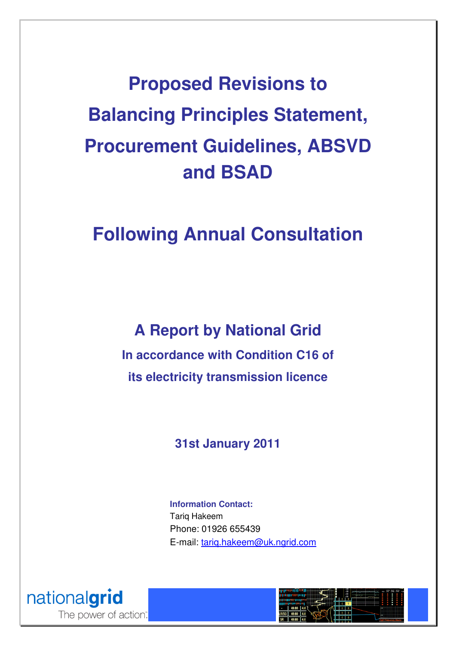**Proposed Revisions to Balancing Principles Statement, Procurement Guidelines, ABSVD and BSAD** 

# **Following Annual Consultation**

**A Report by National Grid In accordance with Condition C16 of its electricity transmission licence** 

## **31st January 2011**

**Information Contact:**  Tariq Hakeem Phone: 01926 655439 E-mail: tariq.hakeem@uk.ngrid.com



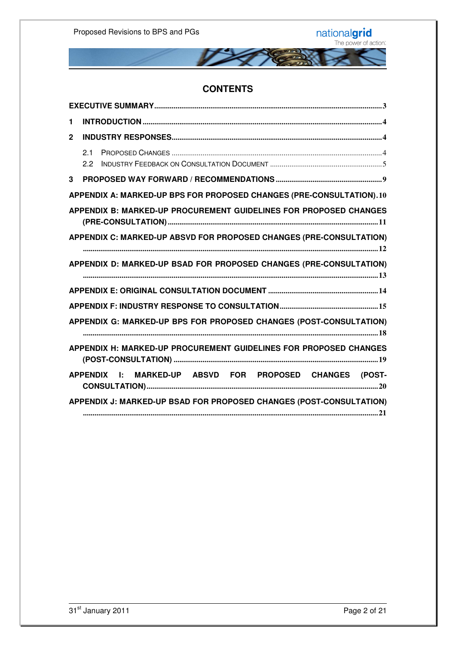

#### **CONTENTS**

| 1            |                                                                                                                                                                                                                                                                                                                                                                                                                                  |  |
|--------------|----------------------------------------------------------------------------------------------------------------------------------------------------------------------------------------------------------------------------------------------------------------------------------------------------------------------------------------------------------------------------------------------------------------------------------|--|
| $\mathbf{2}$ |                                                                                                                                                                                                                                                                                                                                                                                                                                  |  |
|              | 21<br>$2.2^{\circ}$                                                                                                                                                                                                                                                                                                                                                                                                              |  |
| 3            |                                                                                                                                                                                                                                                                                                                                                                                                                                  |  |
|              | APPENDIX A: MARKED-UP BPS FOR PROPOSED CHANGES (PRE-CONSULTATION).10                                                                                                                                                                                                                                                                                                                                                             |  |
|              | APPENDIX B: MARKED-UP PROCUREMENT GUIDELINES FOR PROPOSED CHANGES                                                                                                                                                                                                                                                                                                                                                                |  |
|              | APPENDIX C: MARKED-UP ABSVD FOR PROPOSED CHANGES (PRE-CONSULTATION)                                                                                                                                                                                                                                                                                                                                                              |  |
|              | APPENDIX D: MARKED-UP BSAD FOR PROPOSED CHANGES (PRE-CONSULTATION)                                                                                                                                                                                                                                                                                                                                                               |  |
|              |                                                                                                                                                                                                                                                                                                                                                                                                                                  |  |
|              |                                                                                                                                                                                                                                                                                                                                                                                                                                  |  |
|              | APPENDIX G: MARKED-UP BPS FOR PROPOSED CHANGES (POST-CONSULTATION)                                                                                                                                                                                                                                                                                                                                                               |  |
|              | APPENDIX H: MARKED-UP PROCUREMENT GUIDELINES FOR PROPOSED CHANGES                                                                                                                                                                                                                                                                                                                                                                |  |
|              | APPENDIX I: MARKED-UP ABSVD FOR PROPOSED CHANGES (POST-<br>$\textbf{CONSULTATION)} \text{} \text{} \\ \text{} \\ \text{} \\ \text{} \\ \text{} \\ \text{} \\ \text{} \\ \text{} \\ \text{} \\ \text{} \\ \text{} \\ \text{} \\ \text{} \\ \text{} \\ \text{} \\ \text{} \\ \text{} \\ \text{} \\ \text{} \\ \text{} \\ \text{} \\ \text{} \\ \text{} \\ \text{} \\ \text{} \\ \text{} \\ \text{} \\ \text{} \\ \text{} \\ \text$ |  |
|              | APPENDIX J: MARKED-UP BSAD FOR PROPOSED CHANGES (POST-CONSULTATION)                                                                                                                                                                                                                                                                                                                                                              |  |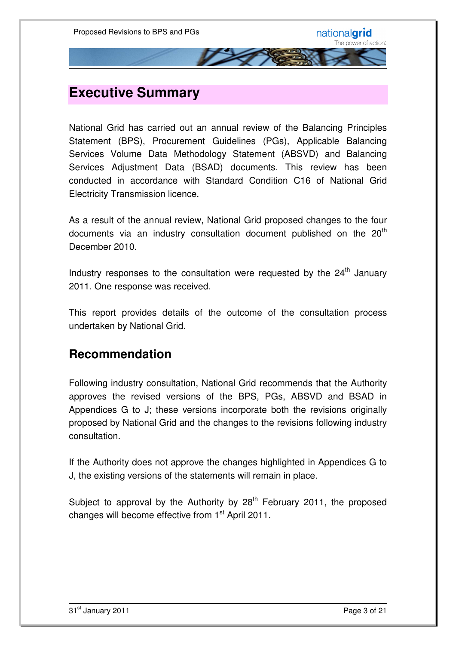## **Executive Summary**

National Grid has carried out an annual review of the Balancing Principles Statement (BPS), Procurement Guidelines (PGs), Applicable Balancing Services Volume Data Methodology Statement (ABSVD) and Balancing Services Adjustment Data (BSAD) documents. This review has been conducted in accordance with Standard Condition C16 of National Grid Electricity Transmission licence.

As a result of the annual review, National Grid proposed changes to the four documents via an industry consultation document published on the  $20<sup>th</sup>$ December 2010.

Industry responses to the consultation were requested by the  $24<sup>th</sup>$  January 2011. One response was received.

This report provides details of the outcome of the consultation process undertaken by National Grid.

### **Recommendation**

Following industry consultation, National Grid recommends that the Authority approves the revised versions of the BPS, PGs, ABSVD and BSAD in Appendices G to J; these versions incorporate both the revisions originally proposed by National Grid and the changes to the revisions following industry consultation.

If the Authority does not approve the changes highlighted in Appendices G to J, the existing versions of the statements will remain in place.

Subject to approval by the Authority by  $28<sup>th</sup>$  February 2011, the proposed changes will become effective from 1<sup>st</sup> April 2011.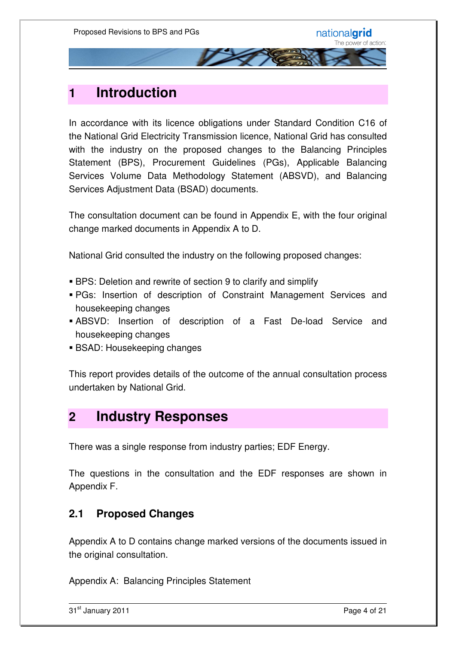## **1 Introduction**

In accordance with its licence obligations under Standard Condition C16 of the National Grid Electricity Transmission licence, National Grid has consulted with the industry on the proposed changes to the Balancing Principles Statement (BPS), Procurement Guidelines (PGs), Applicable Balancing Services Volume Data Methodology Statement (ABSVD), and Balancing Services Adjustment Data (BSAD) documents.

The consultation document can be found in Appendix E, with the four original change marked documents in Appendix A to D.

National Grid consulted the industry on the following proposed changes:

- BPS: Deletion and rewrite of section 9 to clarify and simplify
- PGs: Insertion of description of Constraint Management Services and housekeeping changes
- ABSVD: Insertion of description of a Fast De-load Service and housekeeping changes
- BSAD: Housekeeping changes

This report provides details of the outcome of the annual consultation process undertaken by National Grid.

## **2 Industry Responses**

There was a single response from industry parties; EDF Energy.

The questions in the consultation and the EDF responses are shown in Appendix F.

#### **2.1 Proposed Changes**

Appendix A to D contains change marked versions of the documents issued in the original consultation.

Appendix A: Balancing Principles Statement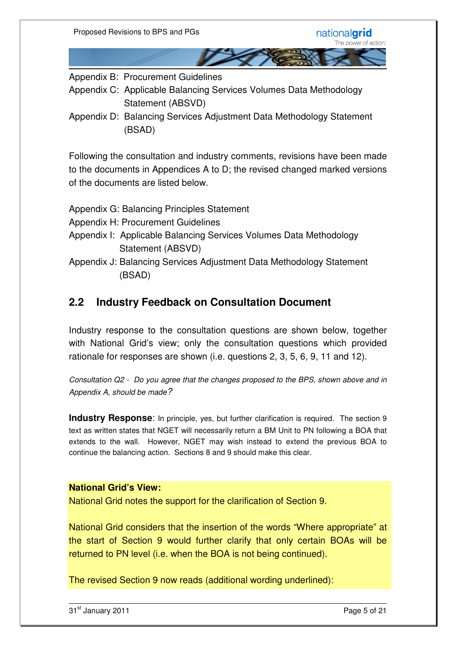Appendix B: Procurement Guidelines

- Appendix C: Applicable Balancing Services Volumes Data Methodology Statement (ABSVD)
- Appendix D: Balancing Services Adjustment Data Methodology Statement (BSAD)

Following the consultation and industry comments, revisions have been made to the documents in Appendices A to D; the revised changed marked versions of the documents are listed below.

| Appendix G: Balancing Principles Statement                           |  |  |  |
|----------------------------------------------------------------------|--|--|--|
| Appendix H: Procurement Guidelines                                   |  |  |  |
| Appendix I: Applicable Balancing Services Volumes Data Methodology   |  |  |  |
| Statement (ABSVD)                                                    |  |  |  |
| Appendix J: Balancing Services Adjustment Data Methodology Statement |  |  |  |
| (BSAD)                                                               |  |  |  |

### **2.2 Industry Feedback on Consultation Document**

Industry response to the consultation questions are shown below, together with National Grid's view; only the consultation questions which provided rationale for responses are shown (i.e. questions 2, 3, 5, 6, 9, 11 and 12).

Consultation Q2 - Do you agree that the changes proposed to the BPS, shown above and in Appendix A, should be made?

**Industry Response:** In principle, yes, but further clarification is required. The section 9 text as written states that NGET will necessarily return a BM Unit to PN following a BOA that extends to the wall. However, NGET may wish instead to extend the previous BOA to continue the balancing action. Sections 8 and 9 should make this clear.

#### **National Grid's View:**

National Grid notes the support for the clarification of Section 9.

National Grid considers that the insertion of the words "Where appropriate" at the start of Section 9 would further clarify that only certain BOAs will be returned to PN level (i.e. when the BOA is not being continued).

The revised Section 9 now reads (additional wording underlined):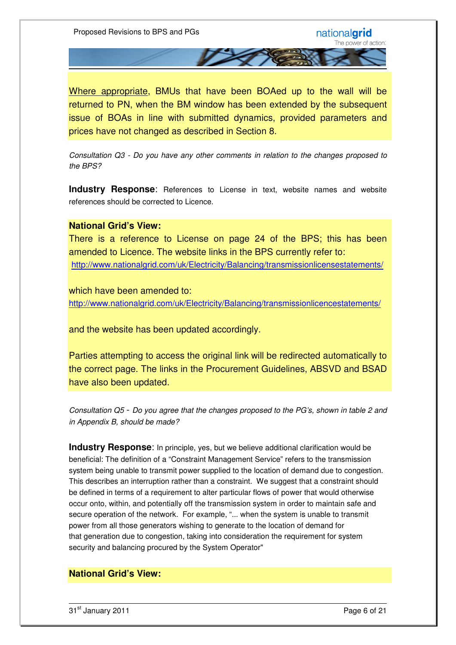Where appropriate, BMUs that have been BOAed up to the wall will be returned to PN, when the BM window has been extended by the subsequent issue of BOAs in line with submitted dynamics, provided parameters and prices have not changed as described in Section 8.

Consultation Q3 - Do you have any other comments in relation to the changes proposed to the BPS?

**Industry Response:** References to License in text, website names and website references should be corrected to Licence.

#### **National Grid's View:**

There is a reference to License on page 24 of the BPS; this has been amended to Licence. The website links in the BPS currently refer to: http://www.nationalgrid.com/uk/Electricity/Balancing/transmissionlicensestatements/

which have been amended to: http://www.nationalgrid.com/uk/Electricity/Balancing/transmissionlicencestatements/

and the website has been updated accordingly.

Parties attempting to access the original link will be redirected automatically to the correct page. The links in the Procurement Guidelines, ABSVD and BSAD have also been updated.

Consultation Q5 - Do you agree that the changes proposed to the PG's, shown in table 2 and in Appendix B, should be made?

**Industry Response**: In principle, yes, but we believe additional clarification would be beneficial: The definition of a "Constraint Management Service" refers to the transmission system being unable to transmit power supplied to the location of demand due to congestion. This describes an interruption rather than a constraint. We suggest that a constraint should be defined in terms of a requirement to alter particular flows of power that would otherwise occur onto, within, and potentially off the transmission system in order to maintain safe and secure operation of the network. For example, "... when the system is unable to transmit power from all those generators wishing to generate to the location of demand for that generation due to congestion, taking into consideration the requirement for system security and balancing procured by the System Operator"

#### **National Grid's View:**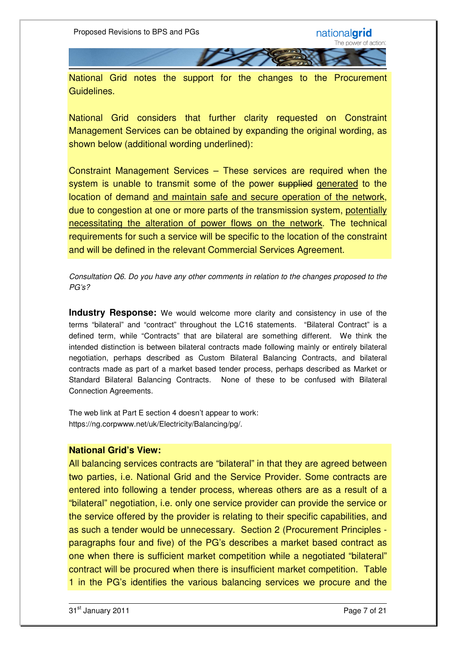National Grid notes the support for the changes to the Procurement Guidelines.

National Grid considers that further clarity requested on Constraint Management Services can be obtained by expanding the original wording, as shown below (additional wording underlined):

Constraint Management Services – These services are required when the system is unable to transmit some of the power supplied generated to the location of demand and maintain safe and secure operation of the network, due to congestion at one or more parts of the transmission system, potentially necessitating the alteration of power flows on the network. The technical requirements for such a service will be specific to the location of the constraint and will be defined in the relevant Commercial Services Agreement.

Consultation Q6. Do you have any other comments in relation to the changes proposed to the PG's?

**Industry Response:** We would welcome more clarity and consistency in use of the terms "bilateral" and "contract" throughout the LC16 statements. "Bilateral Contract" is a defined term, while "Contracts" that are bilateral are something different. We think the intended distinction is between bilateral contracts made following mainly or entirely bilateral negotiation, perhaps described as Custom Bilateral Balancing Contracts, and bilateral contracts made as part of a market based tender process, perhaps described as Market or Standard Bilateral Balancing Contracts. None of these to be confused with Bilateral Connection Agreements.

The web link at Part E section 4 doesn't appear to work: https://ng.corpwww.net/uk/Electricity/Balancing/pg/.

#### **National Grid's View:**

All balancing services contracts are "bilateral" in that they are agreed between two parties, i.e. National Grid and the Service Provider. Some contracts are entered into following a tender process, whereas others are as a result of a "bilateral" negotiation, i.e. only one service provider can provide the service or the service offered by the provider is relating to their specific capabilities, and as such a tender would be unnecessary. Section 2 (Procurement Principles paragraphs four and five) of the PG's describes a market based contract as one when there is sufficient market competition while a negotiated "bilateral" contract will be procured when there is insufficient market competition. Table 1 in the PG's identifies the various balancing services we procure and the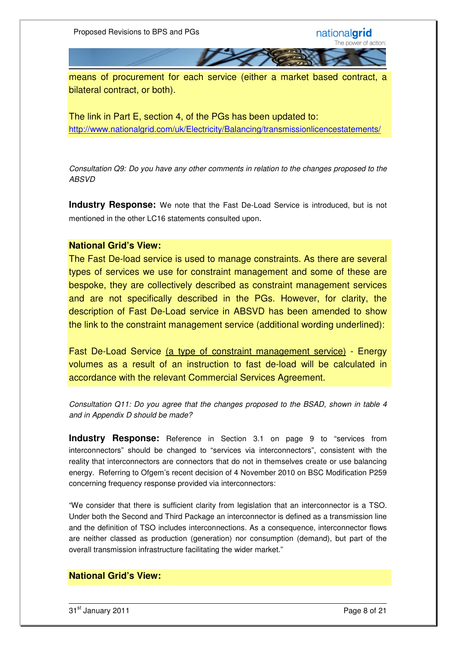means of procurement for each service (either a market based contract, a bilateral contract, or both).

The link in Part E, section 4, of the PGs has been updated to: http://www.nationalgrid.com/uk/Electricity/Balancing/transmissionlicencestatements/

Consultation Q9: Do you have any other comments in relation to the changes proposed to the ABSVD

**Industry Response:** We note that the Fast De-Load Service is introduced, but is not mentioned in the other LC16 statements consulted upon.

#### **National Grid's View:**

The Fast De-load service is used to manage constraints. As there are several types of services we use for constraint management and some of these are bespoke, they are collectively described as constraint management services and are not specifically described in the PGs. However, for clarity, the description of Fast De-Load service in ABSVD has been amended to show the link to the constraint management service (additional wording underlined):

Fast De-Load Service (a type of constraint management service) - Energy volumes as a result of an instruction to fast de-load will be calculated in accordance with the relevant Commercial Services Agreement.

Consultation Q11: Do you agree that the changes proposed to the BSAD, shown in table 4 and in Appendix D should be made?

**Industry Response:** Reference in Section 3.1 on page 9 to "services from interconnectors" should be changed to "services via interconnectors", consistent with the reality that interconnectors are connectors that do not in themselves create or use balancing energy. Referring to Ofgem's recent decision of 4 November 2010 on BSC Modification P259 concerning frequency response provided via interconnectors:

"We consider that there is sufficient clarity from legislation that an interconnector is a TSO. Under both the Second and Third Package an interconnector is defined as a transmission line and the definition of TSO includes interconnections. As a consequence, interconnector flows are neither classed as production (generation) nor consumption (demand), but part of the overall transmission infrastructure facilitating the wider market."

#### **National Grid's View:**

31<sup>st</sup> January 2011 **Page 8 of 21**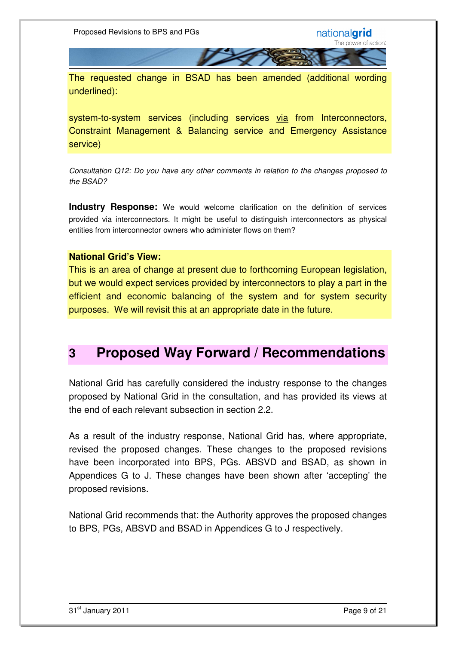The requested change in BSAD has been amended (additional wording underlined):

system-to-system services (including services via from Interconnectors, Constraint Management & Balancing service and Emergency Assistance service)

Consultation Q12: Do you have any other comments in relation to the changes proposed to the BSAD?

**Industry Response:** We would welcome clarification on the definition of services provided via interconnectors. It might be useful to distinguish interconnectors as physical entities from interconnector owners who administer flows on them?

#### **National Grid's View:**

This is an area of change at present due to forthcoming European legislation, but we would expect services provided by interconnectors to play a part in the efficient and economic balancing of the system and for system security purposes. We will revisit this at an appropriate date in the future.

## **3 Proposed Way Forward / Recommendations**

National Grid has carefully considered the industry response to the changes proposed by National Grid in the consultation, and has provided its views at the end of each relevant subsection in section 2.2.

As a result of the industry response, National Grid has, where appropriate, revised the proposed changes. These changes to the proposed revisions have been incorporated into BPS, PGs. ABSVD and BSAD, as shown in Appendices G to J. These changes have been shown after 'accepting' the proposed revisions.

National Grid recommends that: the Authority approves the proposed changes to BPS, PGs, ABSVD and BSAD in Appendices G to J respectively.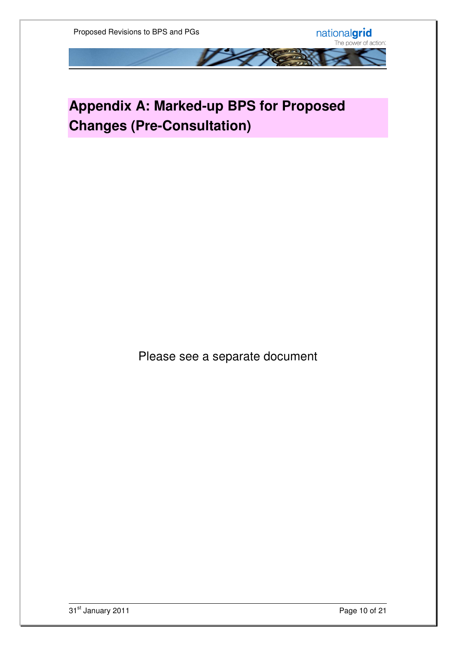## **Appendix A: Marked-up BPS for Proposed Changes (Pre-Consultation)**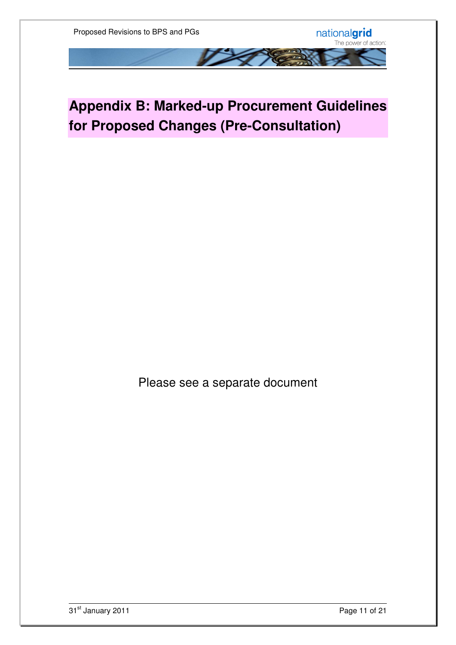## **Appendix B: Marked-up Procurement Guidelines for Proposed Changes (Pre-Consultation)**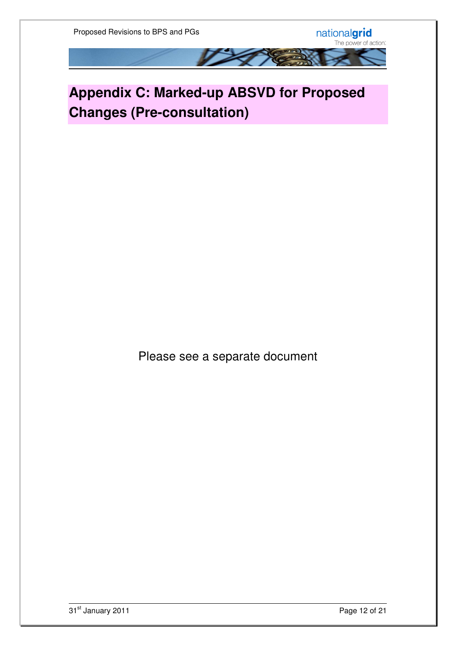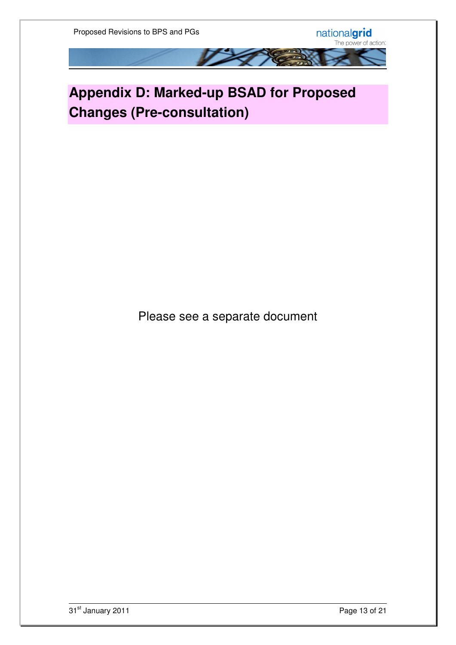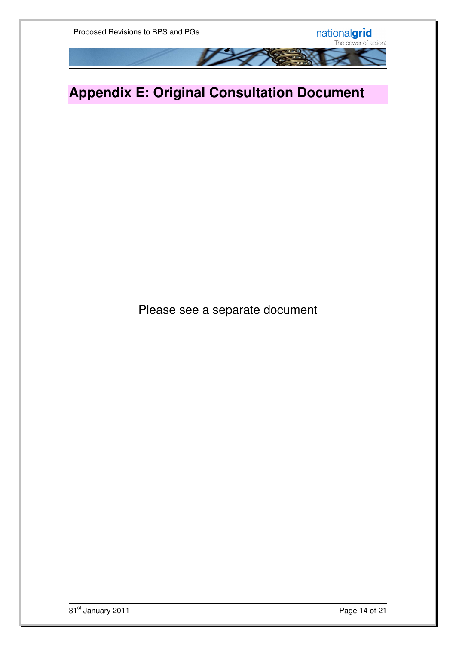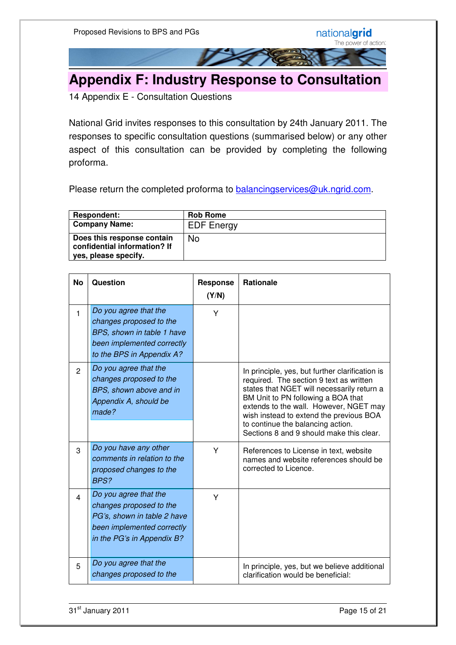

14 Appendix E - Consultation Questions

National Grid invites responses to this consultation by 24th January 2011. The responses to specific consultation questions (summarised below) or any other aspect of this consultation can be provided by completing the following proforma.

Please return the completed proforma to **balancingservices@uk.ngrid.com.** 

| <b>Respondent:</b>                                                                 | <b>Rob Rome</b>   |
|------------------------------------------------------------------------------------|-------------------|
| <b>Company Name:</b>                                                               | <b>EDF</b> Energy |
| Does this response contain<br>confidential information? If<br>yes, please specify. | No                |

| <b>No</b>      | <b>Question</b>                                                                                                                             | <b>Response</b><br>(Y/N) | <b>Rationale</b>                                                                                                                                                                                                                                                                                                                                     |
|----------------|---------------------------------------------------------------------------------------------------------------------------------------------|--------------------------|------------------------------------------------------------------------------------------------------------------------------------------------------------------------------------------------------------------------------------------------------------------------------------------------------------------------------------------------------|
| $\mathbf{1}$   | Do you agree that the<br>changes proposed to the<br>BPS, shown in table 1 have<br>been implemented correctly<br>to the BPS in Appendix A?   | Y                        |                                                                                                                                                                                                                                                                                                                                                      |
| $\overline{2}$ | Do you agree that the<br>changes proposed to the<br>BPS, shown above and in<br>Appendix A, should be<br>made?                               |                          | In principle, yes, but further clarification is<br>required. The section 9 text as written<br>states that NGET will necessarily return a<br>BM Unit to PN following a BOA that<br>extends to the wall. However, NGET may<br>wish instead to extend the previous BOA<br>to continue the balancing action.<br>Sections 8 and 9 should make this clear. |
| 3              | Do you have any other<br>comments in relation to the<br>proposed changes to the<br>BPS?                                                     | Y                        | References to License in text, website<br>names and website references should be<br>corrected to Licence.                                                                                                                                                                                                                                            |
| 4              | Do you agree that the<br>changes proposed to the<br>PG's, shown in table 2 have<br>been implemented correctly<br>in the PG's in Appendix B? | Y                        |                                                                                                                                                                                                                                                                                                                                                      |
| 5              | Do you agree that the<br>changes proposed to the                                                                                            |                          | In principle, yes, but we believe additional<br>clarification would be beneficial:                                                                                                                                                                                                                                                                   |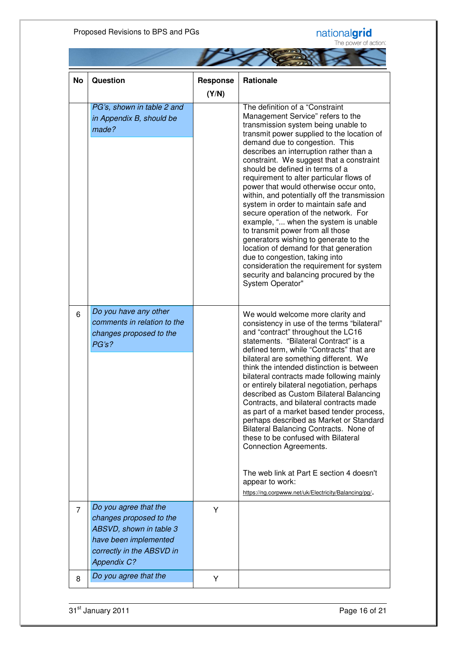#### Proposed Revisions to BPS and PGs

# nationalgrid<br>The power of action:

|  | in it possor or a |
|--|-------------------|
|  |                   |

| <b>No</b>      | <b>Question</b>                                                                                                                                         | <b>Response</b> | <b>Rationale</b>                                                                                                                                                                                                                                                                                                                                                                                                                                                                                                                                                                                                                                                                                                                                                                                                                                       |
|----------------|---------------------------------------------------------------------------------------------------------------------------------------------------------|-----------------|--------------------------------------------------------------------------------------------------------------------------------------------------------------------------------------------------------------------------------------------------------------------------------------------------------------------------------------------------------------------------------------------------------------------------------------------------------------------------------------------------------------------------------------------------------------------------------------------------------------------------------------------------------------------------------------------------------------------------------------------------------------------------------------------------------------------------------------------------------|
|                |                                                                                                                                                         | (Y/N)           |                                                                                                                                                                                                                                                                                                                                                                                                                                                                                                                                                                                                                                                                                                                                                                                                                                                        |
|                | PG's, shown in table 2 and<br>in Appendix B, should be<br>made?                                                                                         |                 | The definition of a "Constraint<br>Management Service" refers to the<br>transmission system being unable to<br>transmit power supplied to the location of<br>demand due to congestion. This<br>describes an interruption rather than a<br>constraint. We suggest that a constraint<br>should be defined in terms of a<br>requirement to alter particular flows of<br>power that would otherwise occur onto,<br>within, and potentially off the transmission<br>system in order to maintain safe and<br>secure operation of the network. For<br>example, " when the system is unable<br>to transmit power from all those<br>generators wishing to generate to the<br>location of demand for that generation<br>due to congestion, taking into<br>consideration the requirement for system<br>security and balancing procured by the<br>System Operator" |
| 6              | Do you have any other<br>comments in relation to the<br>changes proposed to the<br>PG's?                                                                |                 | We would welcome more clarity and<br>consistency in use of the terms "bilateral"<br>and "contract" throughout the LC16<br>statements. "Bilateral Contract" is a<br>defined term, while "Contracts" that are<br>bilateral are something different. We<br>think the intended distinction is between<br>bilateral contracts made following mainly<br>or entirely bilateral negotiation, perhaps<br>described as Custom Bilateral Balancing<br>Contracts, and bilateral contracts made<br>as part of a market based tender process,<br>perhaps described as Market or Standard<br>Bilateral Balancing Contracts. None of<br>these to be confused with Bilateral<br><b>Connection Agreements.</b><br>The web link at Part E section 4 doesn't<br>appear to work:<br>https://ng.corpwww.net/uk/Electricity/Balancing/pg/.                                    |
| $\overline{7}$ | Do you agree that the<br>changes proposed to the<br>ABSVD, shown in table 3<br>have been implemented<br>correctly in the ABSVD in<br><b>Appendix C?</b> | Y               |                                                                                                                                                                                                                                                                                                                                                                                                                                                                                                                                                                                                                                                                                                                                                                                                                                                        |
| 8              | Do you agree that the                                                                                                                                   | Υ               |                                                                                                                                                                                                                                                                                                                                                                                                                                                                                                                                                                                                                                                                                                                                                                                                                                                        |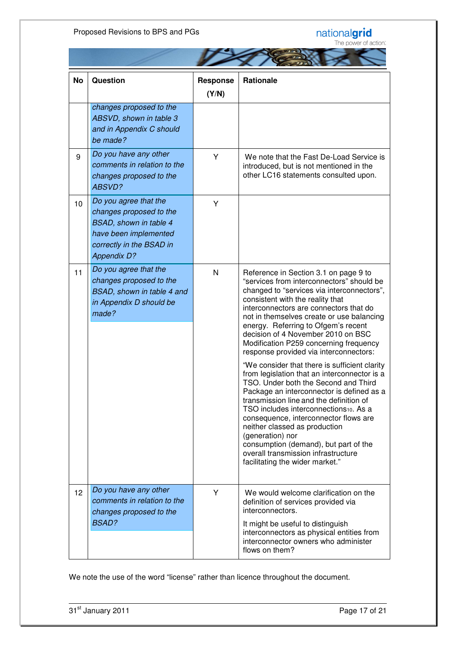#### Proposed Revisions to BPS and PGs

# nationalgrid<br>The power of action:



| <b>No</b> | <b>Question</b>                                                                                                                                              | <b>Response</b><br>(Y/N) | <b>Rationale</b>                                                                                                                                                                                                                                                                                                                                                                                                                                                                                                                                                                                                                                                                                                                                                                                                                                                                                                        |
|-----------|--------------------------------------------------------------------------------------------------------------------------------------------------------------|--------------------------|-------------------------------------------------------------------------------------------------------------------------------------------------------------------------------------------------------------------------------------------------------------------------------------------------------------------------------------------------------------------------------------------------------------------------------------------------------------------------------------------------------------------------------------------------------------------------------------------------------------------------------------------------------------------------------------------------------------------------------------------------------------------------------------------------------------------------------------------------------------------------------------------------------------------------|
|           | changes proposed to the<br>ABSVD, shown in table 3<br>and in Appendix C should<br>be made?                                                                   |                          |                                                                                                                                                                                                                                                                                                                                                                                                                                                                                                                                                                                                                                                                                                                                                                                                                                                                                                                         |
| 9         | Do you have any other<br>comments in relation to the<br>changes proposed to the<br>ABSVD?                                                                    | Y                        | We note that the Fast De-Load Service is<br>introduced, but is not mentioned in the<br>other LC16 statements consulted upon.                                                                                                                                                                                                                                                                                                                                                                                                                                                                                                                                                                                                                                                                                                                                                                                            |
| 10        | Do you agree that the<br>changes proposed to the<br><b>BSAD, shown in table 4</b><br>have been implemented<br>correctly in the BSAD in<br><b>Appendix D?</b> | Y                        |                                                                                                                                                                                                                                                                                                                                                                                                                                                                                                                                                                                                                                                                                                                                                                                                                                                                                                                         |
| 11        | Do you agree that the<br>changes proposed to the<br>BSAD, shown in table 4 and<br>in Appendix D should be<br>made?                                           | $\mathsf{N}$             | Reference in Section 3.1 on page 9 to<br>"services from interconnectors" should be<br>changed to "services via interconnectors",<br>consistent with the reality that<br>interconnectors are connectors that do<br>not in themselves create or use balancing<br>energy. Referring to Ofgem's recent<br>decision of 4 November 2010 on BSC<br>Modification P259 concerning frequency<br>response provided via interconnectors:<br>"We consider that there is sufficient clarity<br>from legislation that an interconnector is a<br>TSO. Under both the Second and Third<br>Package an interconnector is defined as a<br>transmission line and the definition of<br>TSO includes interconnections10. As a<br>consequence, interconnector flows are<br>neither classed as production<br>(generation) nor<br>consumption (demand), but part of the<br>overall transmission infrastructure<br>facilitating the wider market." |
| 12        | Do you have any other<br>comments in relation to the<br>changes proposed to the<br><b>BSAD?</b>                                                              | Y                        | We would welcome clarification on the<br>definition of services provided via<br>interconnectors.<br>It might be useful to distinguish<br>interconnectors as physical entities from<br>interconnector owners who administer<br>flows on them?                                                                                                                                                                                                                                                                                                                                                                                                                                                                                                                                                                                                                                                                            |

We note the use of the word "license" rather than licence throughout the document.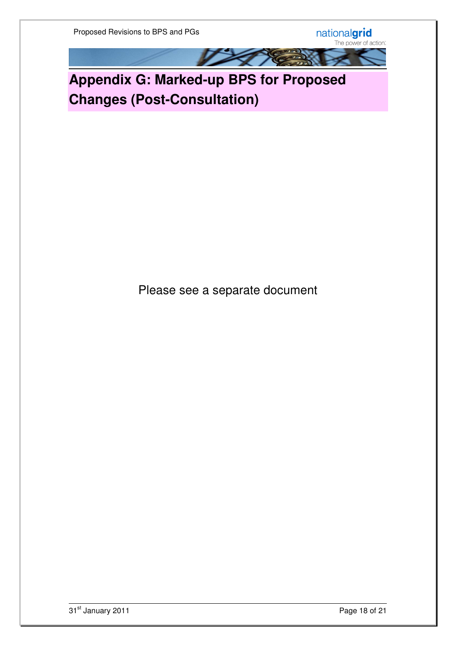nationalgrid<br>The power of action:



**Appendix G: Marked-up BPS for Proposed Changes (Post-Consultation)**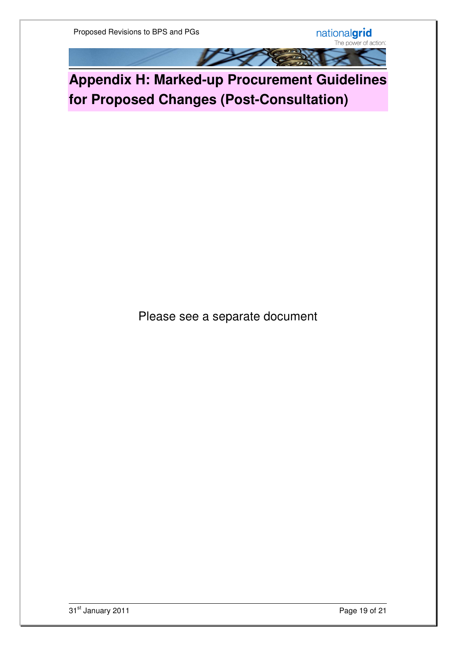nationalgrid<br>The power of action:

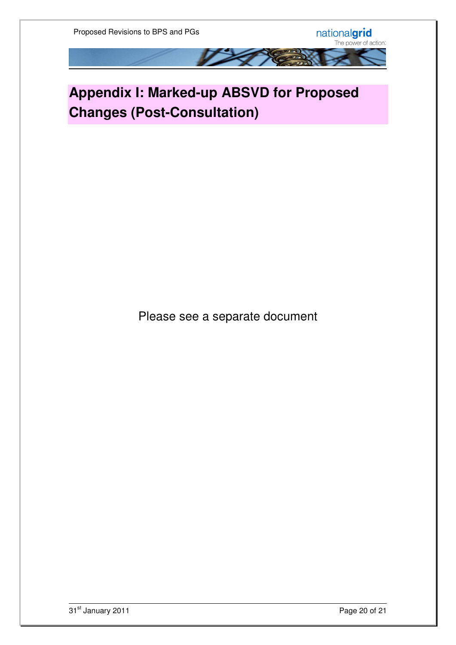